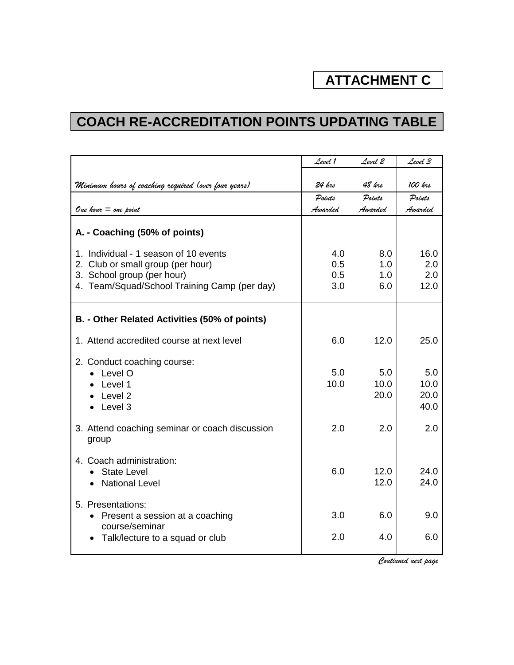## **ATTACHMENT C**

## **COACH RE-ACCREDITATION POINTS UPDATING TABLE**

|                                                                          | Level 1 | Level Z      | Level 3      |
|--------------------------------------------------------------------------|---------|--------------|--------------|
| Minimum hours of coaching required (over four years)                     | 24 krs  | 48 krs       | 100 krs      |
|                                                                          | Points  | Points       | Points       |
| One hour $=$ one point                                                   | Awarded | Awarded      | Awarded      |
| A. - Coaching (50% of points)                                            |         |              |              |
| 1. Individual - 1 season of 10 events                                    | 4.0     | 8.0          | 16.0         |
| 2. Club or small group (per hour)                                        | 0.5     | 1.0          | 2.0          |
| 3. School group (per hour)                                               | 0.5     | 1.0          | 2.0          |
| 4. Team/Squad/School Training Camp (per day)                             | 3.0     | 6.0          | 12.0         |
| B. - Other Related Activities (50% of points)                            |         |              |              |
| 1. Attend accredited course at next level                                | 6.0     | 12.0         | 25.0         |
| 2. Conduct coaching course:                                              |         |              |              |
| Level O                                                                  | 5.0     | 5.0          | 5.0          |
| Level 1                                                                  | 10.0    | 10.0         | 10.0         |
| Level 2                                                                  |         | 20.0         | 20.0         |
| Level 3                                                                  |         |              | 40.0         |
| 3. Attend coaching seminar or coach discussion<br>group                  | 2.0     | 2.0          | 2.0          |
| 4. Coach administration:<br><b>State Level</b><br><b>National Level</b>  | 6.0     | 12.0<br>12.0 | 24.0<br>24.0 |
| 5. Presentations:<br>• Present a session at a coaching<br>course/seminar | 3.0     | 6.0          | 9.0          |
| Talk/lecture to a squad or club                                          | 2.0     | 4.0          | 6.0          |

*Continued next page*